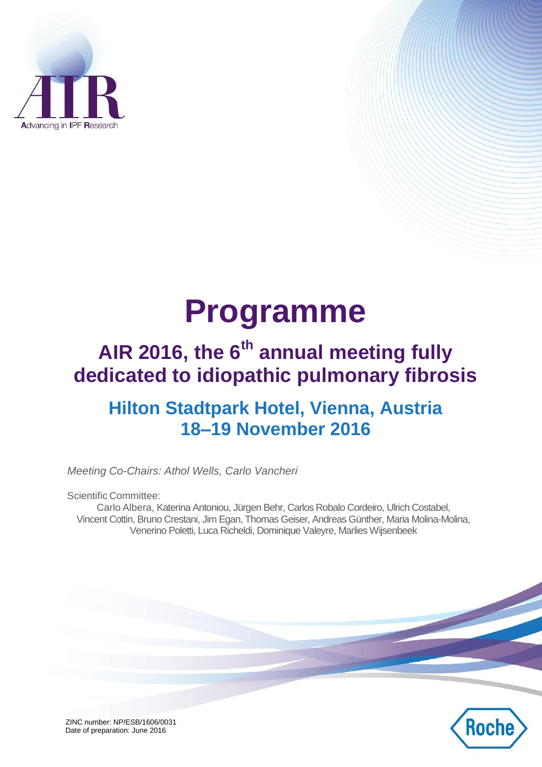

# **AIR 2016, the 6th annual meeting fully dedicated to idiopathic pulmonary fibrosis**

# **Hilton Stadtpark Hotel, Vienna, Austria 18–19 November 2016**

*Meeting Co-Chairs: Athol Wells, Carlo Vancheri*

Scientific Committee: Carlo Albera, Katerina Antoniou, Jürgen Behr, Carlos Robalo Cordeiro, Ulrich Costabel, Vincent Cottin, Bruno Crestani, Jim Egan, Thomas Geiser, Andreas Günther, Maria Molina-Molina, Venerino Poletti, Luca Richeldi, Dominique Valeyre, Marlies Wijsenbeek



ZINC number: NP/ESB/1606/0031 Date of preparation: June 2016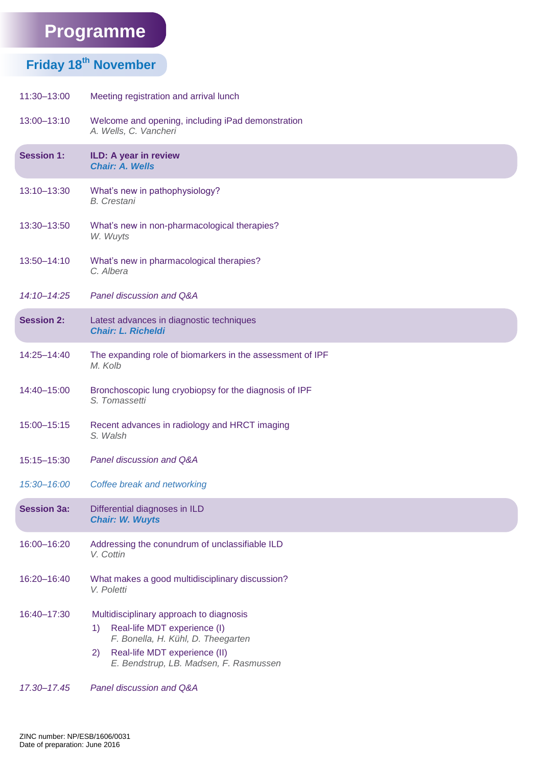### **Friday 18th November**

| 11:30-13:00        | Meeting registration and arrival lunch                                        |
|--------------------|-------------------------------------------------------------------------------|
| 13:00-13:10        | Welcome and opening, including iPad demonstration<br>A. Wells, C. Vancheri    |
| <b>Session 1:</b>  | ILD: A year in review<br><b>Chair: A. Wells</b>                               |
| 13:10-13:30        | What's new in pathophysiology?<br><b>B.</b> Crestani                          |
| 13:30-13:50        | What's new in non-pharmacological therapies?<br>W. Wuyts                      |
| 13:50-14:10        | What's new in pharmacological therapies?<br>C. Albera                         |
| 14:10-14:25        | Panel discussion and Q&A                                                      |
| <b>Session 2:</b>  | Latest advances in diagnostic techniques<br><b>Chair: L. Richeldi</b>         |
| 14:25-14:40        | The expanding role of biomarkers in the assessment of IPF<br>M. Kolb          |
| 14:40-15:00        | Bronchoscopic lung cryobiopsy for the diagnosis of IPF<br>S. Tomassetti       |
| 15:00-15:15        | Recent advances in radiology and HRCT imaging<br>S. Walsh                     |
| 15:15-15:30        | Panel discussion and Q&A                                                      |
| 15:30-16:00        | Coffee break and networking                                                   |
| <b>Session 3a:</b> | Differential diagnoses in ILD<br><b>Chair: W. Wuyts</b>                       |
| 16:00-16:20        | Addressing the conundrum of unclassifiable ILD<br>V. Cottin                   |
| 16:20-16:40        | What makes a good multidisciplinary discussion?<br>V. Poletti                 |
| 16:40-17:30        | Multidisciplinary approach to diagnosis                                       |
|                    | Real-life MDT experience (I)<br>1)<br>F. Bonella, H. Kühl, D. Theegarten      |
|                    | Real-life MDT experience (II)<br>2)<br>E. Bendstrup, LB. Madsen, F. Rasmussen |
| 17.30-17.45        | Panel discussion and Q&A                                                      |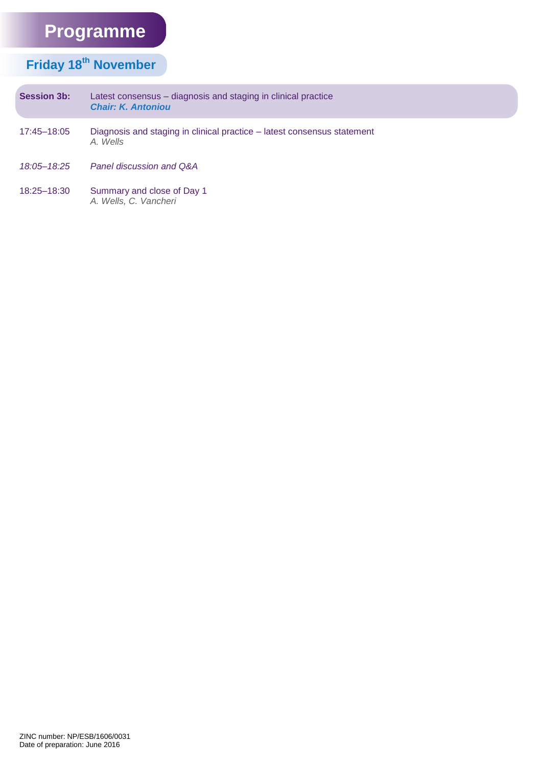### **Friday 18th November**

| <b>Session 3b:</b> | Latest consensus – diagnosis and staging in clinical practice<br><b>Chair: K. Antoniou</b> |
|--------------------|--------------------------------------------------------------------------------------------|
| 17:45-18:05        | Diagnosis and staging in clinical practice – latest consensus statement<br>A. Wells        |
| 18:05-18:25        | Panel discussion and Q&A                                                                   |
| 18:25-18:30        | Summary and close of Day 1<br>A. Wells, C. Vancheri                                        |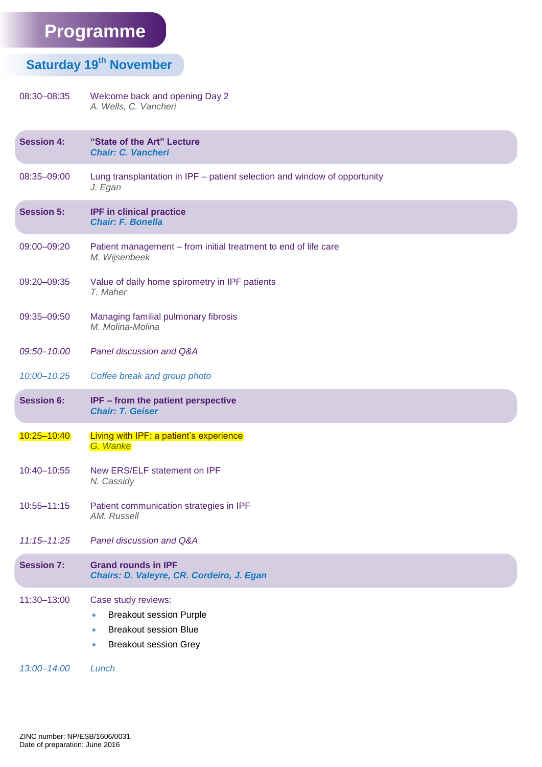#### **Saturday 19th November**

#### 08:30–08:35 Welcome back and opening Day 2 *A. Wells, C. Vancheri*

| <b>Session 4:</b> | "State of the Art" Lecture<br><b>Chair: C. Vancheri</b>                                                                            |
|-------------------|------------------------------------------------------------------------------------------------------------------------------------|
| 08:35-09:00       | Lung transplantation in IPF - patient selection and window of opportunity<br>J. Egan                                               |
| <b>Session 5:</b> | <b>IPF in clinical practice</b><br><b>Chair: F. Bonella</b>                                                                        |
| 09:00-09:20       | Patient management - from initial treatment to end of life care<br>M. Wijsenbeek                                                   |
| 09:20-09:35       | Value of daily home spirometry in IPF patients<br>T. Maher                                                                         |
| 09:35-09:50       | Managing familial pulmonary fibrosis<br>M. Molina-Molina                                                                           |
| 09:50-10:00       | Panel discussion and Q&A                                                                                                           |
| 10:00-10:25       | Coffee break and group photo                                                                                                       |
| <b>Session 6:</b> | IPF - from the patient perspective<br><b>Chair: T. Geiser</b>                                                                      |
| 10:25-10:40       | Living with IPF: a patient's experience<br>G. Wanke                                                                                |
| 10:40-10:55       | New ERS/ELF statement on IPF<br>N. Cassidy                                                                                         |
| 10:55-11:15       | Patient communication strategies in IPF<br>AM. Russell                                                                             |
| $11:15 - 11:25$   | Panel discussion and Q&A                                                                                                           |
| <b>Session 7:</b> | <b>Grand rounds in IPF</b><br>Chairs: D. Valeyre, CR. Cordeiro, J. Egan                                                            |
| 11:30-13:00       | Case study reviews:<br><b>Breakout session Purple</b><br>$\bullet$<br><b>Breakout session Blue</b><br><b>Breakout session Grey</b> |

*13:00–14:00 Lunch*